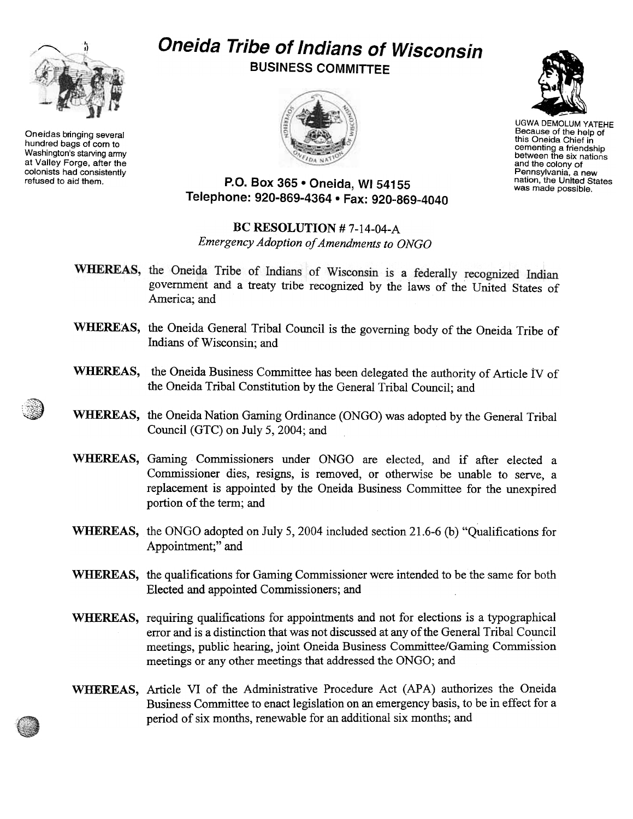

Oneidas bringing several hundred bags of com to Washington's starving army at Valley Forge, after the colonists had consistently

## Oneida Tribe of Indians of Wisconsin

BUSINESS COMMITTEE





UGWA DEMOLUM YATEHE Because of the help of this Oneida Chief in cementing a friendshij<br>between the six nation and the colony of Pennsylvania, a new nation, the United States was made possible.

refused to aid them.  $P.O. Box 365 • Oneida, WI 54155$ Telephone: 920-869-4364 · Fax: 920-869-4040

## BC RESOLUTION # 7-14-04-A Emergency Adoption of Amendments to ONGO

- WHEREAS, the Oneida Tribe of Indians of Wisconsin is a federally recognized Indian government and a treaty tribe recognized by the laws of the United States of America; and
- WHEREAS, the Oneida General Tribal Council is the governing body of the Oneida Tribe of Indians of Wisconsin; and
- WHEREAS, the Oneida Business Committee has been delegated the authority of Article IV of the Oneida Tribal Constitution by the General Tribal Council; and
- WHEREAS, the Oneida Nation Gaming Ordinance (ONGO) was adopted by the General Tribal Council (GTC) on July 5, 2004; and
- WHEREAS, Gaming Commissioners under ONGO are elected, and if after elected a Commissioner dies, resigns, is removed, or otherwise be unable to serve, a replacement is appointed by the Oneida Business Committee for the unexpired portion of the term; and
- WHEREAS, the ONGO adopted on July 5, 2004 included section 21.6-6 (b) "Qualifications for Appointment;" and
- WHEREAS, the qualifications for Gaming Commissioner were intended to be the same for both Elected and appointed Commissioners; and
- WHEREAS, requiring qualifications for appointments and not for elections is a typographical error and is a distinction that was not discussed at any of the General Tribal Council meetings, public hearing, joint Oneida Business Committee/Gaming Commission meetings or any other meetings that addressed the ONGO; and
- WHEREAS, Article VI of the Administrative Procedure Act (APA) authorizes the Oneida Business Committee to enact legislation on an emergency basis, to be in effect for a period of six months, renewable for an additional six months; and